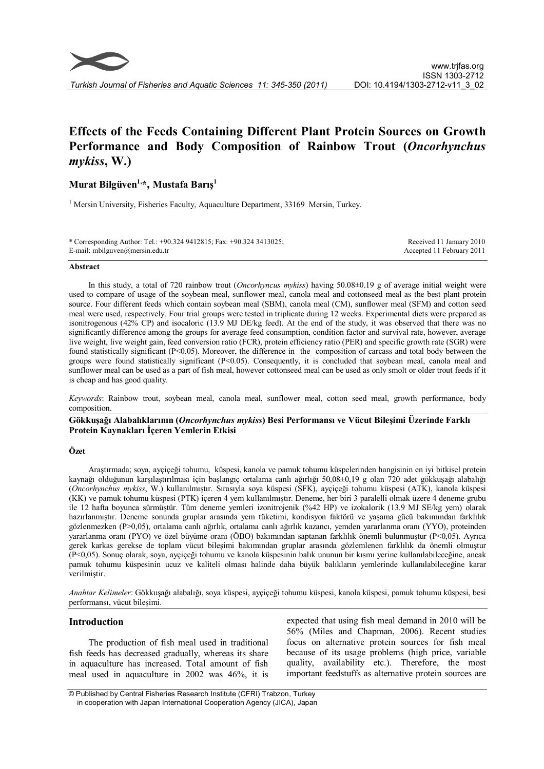

# **Effects of the Feeds Containing Different Plant Protein Sources on Growth Performance and Body Composition of Rainbow Trout (***Oncorhynchus mykiss***, W.)**

# **Murat Bilgüven1,\*, Mustafa Barış<sup>1</sup>**

<sup>1</sup> Mersin University, Fisheries Faculty, Aquaculture Department, 33169 Mersin, Turkey.

| * Corresponding Author: Tel.: +90.324 9412815; Fax: +90.324 3413025; | Received 11 January 2010  |
|----------------------------------------------------------------------|---------------------------|
| E-mail: mbilguven@mersin.edu.tr                                      | Accepted 11 February 2011 |

#### **Abstract**

In this study, a total of 720 rainbow trout (*Oncorhyncus mykiss*) having 50.08±0.19 g of average initial weight were used to compare of usage of the soybean meal, sunflower meal, canola meal and cottonseed meal as the best plant protein source. Four different feeds which contain soybean meal (SBM), canola meal (CM), sunflower meal (SFM) and cotton seed meal were used, respectively. Four trial groups were tested in triplicate during 12 weeks. Experimental diets were prepared as isonitrogenous (42% CP) and isocaloric (13.9 MJ DE/kg feed). At the end of the study, it was observed that there was no significantly difference among the groups for average feed consumption, condition factor and survival rate, however, average live weight, live weight gain, feed conversion ratio (FCR), protein efficiency ratio (PER) and specific growth rate (SGR) were found statistically significant (P<0.05). Moreover, the difference in the composition of carcass and total body between the groups were found statistically significant (P<0.05). Consequently, it is concluded that soybean meal, canola meal and sunflower meal can be used as a part of fish meal, however cottonseed meal can be used as only smolt or older trout feeds if it is cheap and has good quality.

*Keywords*: Rainbow trout, soybean meal, canola meal, sunflower meal, cotton seed meal, growth performance, body composition.

# **Gökkuşağı Alabalıklarının (***Oncorhynchus mykiss***) Besi Performansı ve Vücut Bileşimi Üzerinde Farklı Protein Kaynakları İçeren Yemlerin Etkisi**

# **Özet**

Araştırmada; soya, ayçiçeği tohumu, küspesi, kanola ve pamuk tohumu küspelerinden hangisinin en iyi bitkisel protein kaynağı olduğunun karşılaştırılması için başlangıç ortalama canlı ağırlığı 50,08±0,19 g olan 720 adet gökkuşağı alabalığı (*Oncorhynchus mykiss*, W.) kullanılmıştır. Sırasıyla soya küspesi (SFK), ayçiçeği tohumu küspesi (ATK), kanola küspesi (KK) ve pamuk tohumu küspesi (PTK) içeren 4 yem kullanılmıştır. Deneme, her biri 3 paralelli olmak üzere 4 deneme grubu ile 12 hafta boyunca sürmüştür. Tüm deneme yemleri izonitrojenik (%42 HP) ve izokalorik (13.9 MJ SE/kg yem) olarak hazırlanmıştır. Deneme sonunda gruplar arasında yem tüketimi, kondisyon faktörü ve yaşama gücü bakımından farklılık gözlenmezken (P>0,05), ortalama canlı ağırlık, ortalama canlı ağırlık kazancı, yemden yararlanma oranı (YYO), proteinden yararlanma oranı (PYO) ve özel büyüme oranı (ÖBO) bakımından saptanan farklılık önemli bulunmuştur (P<0,05). Ayrıca gerek karkas gerekse de toplam vücut bileşimi bakımından gruplar arasında gözlemlenen farklılık da önemli olmuştur (P<0,05). Sonuç olarak, soya, ayçiçeği tohumu ve kanola küspesinin balık ununun bir kısmı yerine kullanılabileceğine, ancak pamuk tohumu küspesinin ucuz ve kaliteli olması halinde daha büyük balıkların yemlerinde kullanılabileceğine karar verilmiştir.

*Anahtar Kelimeler*: Gökkuşağı alabalığı, soya küspesi, ayçiçeği tohumu küspesi, kanola küspesi, pamuk tohumu küspesi, besi performansı, vücut bileşimi.

# **Introduction**

The production of fish meal used in traditional fish feeds has decreased gradually, whereas its share in aquaculture has increased. Total amount of fish meal used in aquaculture in 2002 was 46%, it is

expected that using fish meal demand in 2010 will be 56% (Miles and Chapman, 2006). Recent studies focus on alternative protein sources for fish meal because of its usage problems (high price, variable quality, availability etc.). Therefore, the most important feedstuffs as alternative protein sources are

<sup>©</sup> Published by Central Fisheries Research Institute (CFRI) Trabzon, Turkey in cooperation with Japan International Cooperation Agency (JICA), Japan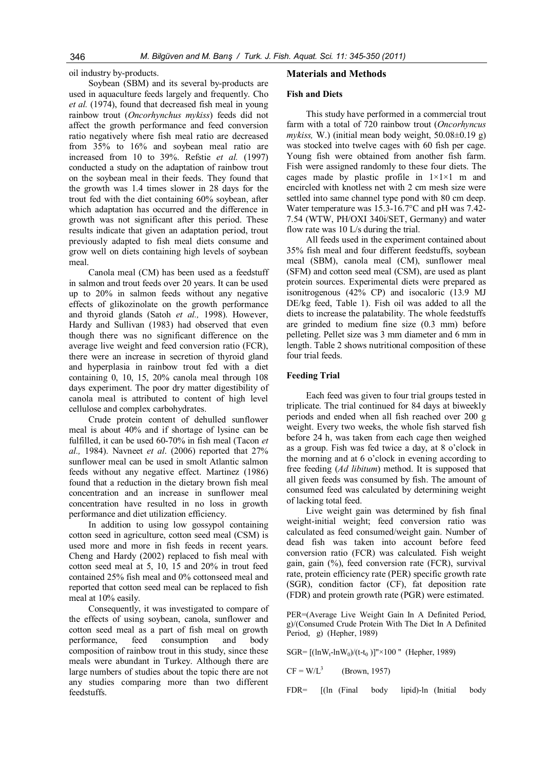oil industry by-products.

Soybean (SBM) and its several by-products are used in aquaculture feeds largely and frequently. Cho *et al.* (1974), found that decreased fish meal in young rainbow trout (*Oncorhynchus mykiss*) feeds did not affect the growth performance and feed conversion ratio negatively where fish meal ratio are decreased from 35% to 16% and soybean meal ratio are increased from 10 to 39%. Refstie *et al.* (1997) conducted a study on the adaptation of rainbow trout on the soybean meal in their feeds. They found that the growth was 1.4 times slower in 28 days for the trout fed with the diet containing 60% soybean, after which adaptation has occurred and the difference in growth was not significant after this period. These results indicate that given an adaptation period, trout previously adapted to fish meal diets consume and grow well on diets containing high levels of soybean meal.

Canola meal (CM) has been used as a feedstuff in salmon and trout feeds over 20 years. It can be used up to 20% in salmon feeds without any negative effects of glikozinolate on the growth performance and thyroid glands (Satoh *et al.,* 1998). However, Hardy and Sullivan (1983) had observed that even though there was no significant difference on the average live weight and feed conversion ratio (FCR), there were an increase in secretion of thyroid gland and hyperplasia in rainbow trout fed with a diet containing 0, 10, 15, 20% canola meal through 108 days experiment. The poor dry matter digestibility of canola meal is attributed to content of high level cellulose and complex carbohydrates.

Crude protein content of dehulled sunflower meal is about 40% and if shortage of lysine can be fulfilled, it can be used 60-70% in fish meal (Tacon *et al.,* 1984). Navneet *et al*. (2006) reported that 27% sunflower meal can be used in smolt Atlantic salmon feeds without any negative effect. Martinez (1986) found that a reduction in the dietary brown fish meal concentration and an increase in sunflower meal concentration have resulted in no loss in growth performance and diet utilization efficiency.

In addition to using low gossypol containing cotton seed in agriculture, cotton seed meal (CSM) is used more and more in fish feeds in recent years. Cheng and Hardy (2002) replaced to fish meal with cotton seed meal at 5, 10, 15 and 20% in trout feed contained 25% fish meal and 0% cottonseed meal and reported that cotton seed meal can be replaced to fish meal at 10% easily.

Consequently, it was investigated to compare of the effects of using soybean, canola, sunflower and cotton seed meal as a part of fish meal on growth performance, feed consumption and body composition of rainbow trout in this study, since these meals were abundant in Turkey. Although there are large numbers of studies about the topic there are not any studies comparing more than two different feedstuffs.

# **Materials and Methods**

#### **Fish and Diets**

This study have performed in a commercial trout farm with a total of 720 rainbow trout (*Oncorhyncus mykiss,* W.) (initial mean body weight, 50.08±0.19 g) was stocked into twelve cages with 60 fish per cage. Young fish were obtained from another fish farm. Fish were assigned randomly to these four diets. The cages made by plastic profile in  $1 \times 1 \times 1$  m and encircled with knotless net with 2 cm mesh size were settled into same channel type pond with 80 cm deep. Water temperature was 15.3-16.7°C and pH was 7.42- 7.54 (WTW, PH/OXI 340i/SET, Germany) and water flow rate was 10 L/s during the trial.

All feeds used in the experiment contained about 35% fish meal and four different feedstuffs, soybean meal (SBM), canola meal (CM), sunflower meal (SFM) and cotton seed meal (CSM), are used as plant protein sources. Experimental diets were prepared as isonitrogenous (42% CP) and isocaloric (13.9 MJ DE/kg feed, Table 1). Fish oil was added to all the diets to increase the palatability. The whole feedstuffs are grinded to medium fine size (0.3 mm) before pelleting. Pellet size was 3 mm diameter and 6 mm in length. Table 2 shows nutritional composition of these four trial feeds.

#### **Feeding Trial**

Each feed was given to four trial groups tested in triplicate. The trial continued for 84 days at biweekly periods and ended when all fish reached over 200 g weight. Every two weeks, the whole fish starved fish before 24 h, was taken from each cage then weighed as a group. Fish was fed twice a day, at 8 o'clock in the morning and at 6 o'clock in evening according to free feeding (*Ad libitum*) method. It is supposed that all given feeds was consumed by fish. The amount of consumed feed was calculated by determining weight of lacking total feed.

Live weight gain was determined by fish final weight-initial weight; feed conversion ratio was calculated as feed consumed/weight gain. Number of dead fish was taken into account before feed conversion ratio (FCR) was calculated. Fish weight gain, gain (%), feed conversion rate (FCR), survival rate, protein efficiency rate (PER) specific growth rate (SGR), condition factor (CF), fat deposition rate (FDR) and protein growth rate (PGR) were estimated.

PER=(Average Live Weight Gain In A Definited Period, g)/(Consumed Crude Protein With The Diet In A Definited Period, g) (Hepher, 1989)

SGR=  $[(\ln W_t - \ln W_0)/(t-t_0)]'' \times 100$  " (Hepher, 1989)

 $CF = W/L^3$ (Brown, 1957)

FDR= [(ln (Final body lipid)-ln (Initial body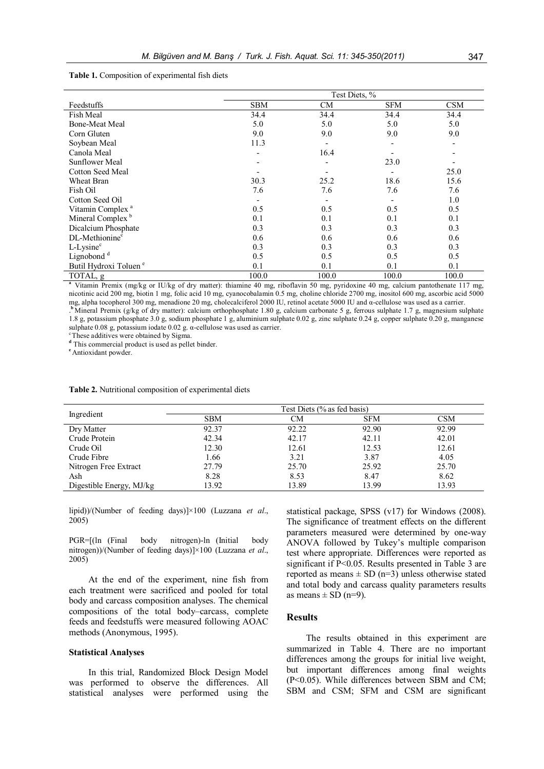# **Table 1.** Composition of experimental fish diets

|                                   | Test Diets, %            |           |            |            |
|-----------------------------------|--------------------------|-----------|------------|------------|
| Feedstuffs                        | <b>SBM</b>               | <b>CM</b> | <b>SFM</b> | <b>CSM</b> |
| Fish Meal                         | 34.4                     | 34.4      | 34.4       | 34.4       |
| <b>Bone-Meat Meal</b>             | 5.0                      | 5.0       | 5.0        | 5.0        |
| Corn Gluten                       | 9.0                      | 9.0       | 9.0        | 9.0        |
| Soybean Meal                      | 11.3                     |           |            |            |
| Canola Meal                       | $\overline{\phantom{0}}$ | 16.4      |            |            |
| <b>Sunflower Meal</b>             |                          |           | 23.0       |            |
| Cotton Seed Meal                  |                          |           |            | 25.0       |
| Wheat Bran                        | 30.3                     | 25.2      | 18.6       | 15.6       |
| Fish Oil                          | 7.6                      | 7.6       | 7.6        | 7.6        |
| Cotton Seed Oil                   |                          |           |            | 1.0        |
| Vitamin Complex <sup>a</sup>      | 0.5                      | 0.5       | 0.5        | 0.5        |
| Mineral Complex <sup>b</sup>      | 0.1                      | 0.1       | 0.1        | 0.1        |
| Dicalcium Phosphate               | 0.3                      | 0.3       | 0.3        | 0.3        |
| DL-Methionine <sup>c</sup>        | 0.6                      | 0.6       | 0.6        | 0.6        |
| $L$ -Lysine $c$                   | 0.3                      | 0.3       | 0.3        | 0.3        |
| Lignobond <sup>d</sup>            | 0.5                      | 0.5       | 0.5        | 0.5        |
| Butil Hydroxi Toluen <sup>e</sup> | 0.1                      | 0.1       | 0.1        | 0.1        |
| TOTAL, g                          | 100.0                    | 100.0     | 100.0      | 100.0      |

**<sup>a</sup>** Vitamin Premix (mg/kg or IU/kg of dry matter): thiamine 40 mg, riboflavin 50 mg, pyridoxine 40 mg, calcium pantothenate 117 mg, nicotinic acid 200 mg, biotin 1 mg, folic acid 10 mg, cyanocobalamin 0.5 mg, choline chloride 2700 mg, inositol 600 mg, ascorbic acid 5000 mg, alpha tocopherol 300 mg, menadione 20 mg, cholecalciferol 2000 IU, retinol acetate 5000 IU and α-cellulose was used as a carrier. . **<sup>b</sup>** Mineral Premix (g/kg of dry matter): calcium orthophosphate 1.80 g, calcium carbonate 5 g, ferrous sulphate 1.7 g, magnesium sulphate

1.8 g, potassium phosphate 3.0 g, sodium phosphate 1 g, aluminium sulphate 0.02 g, zinc sulphate 0.24 g, copper sulphate 0.20 g, manganese sulphate 0.08 g, potassium iodate 0.02 g. α-cellulose was used as carrier.

<sup>c</sup>These additives were obtained by Sigma.

**<sup>d</sup>** This commercial product is used as pellet binder.

**<sup>e</sup>** Antioxidant powder.

**Table 2.** Nutritional composition of experimental diets

| Ingredient               |            | Test Diets (% as fed basis) |            |       |
|--------------------------|------------|-----------------------------|------------|-------|
|                          | <b>SBM</b> | CМ                          | <b>SFM</b> | CSM   |
| Dry Matter               | 92.37      | 92.22                       | 92.90      | 92.99 |
| Crude Protein            | 42.34      | 42.17                       | 42.11      | 42.01 |
| Crude Oil                | 12.30      | 12.61                       | 12.53      | 12.61 |
| Crude Fibre              | 1.66       | 3.21                        | 3.87       | 4.05  |
| Nitrogen Free Extract    | 27.79      | 25.70                       | 25.92      | 25.70 |
| Ash                      | 8.28       | 8.53                        | 8.47       | 8.62  |
| Digestible Energy, MJ/kg | 13.92      | 13.89                       | 13.99      | 13.93 |

lipid))/(Number of feeding days)]×100 (Luzzana *et al*., 2005)

PGR=[(ln (Final body nitrogen)-ln (Initial body nitrogen))/(Number of feeding days)]×100 (Luzzana *et al*., 2005)

At the end of the experiment, nine fish from each treatment were sacrificed and pooled for total body and carcass composition analyses. The chemical compositions of the total body–carcass, complete feeds and feedstuffs were measured following AOAC methods (Anonymous, 1995).

#### **Statistical Analyses**

In this trial, Randomized Block Design Model was performed to observe the differences. All statistical analyses were performed using the

statistical package, SPSS (v17) for Windows (2008). The significance of treatment effects on the different parameters measured were determined by one-way ANOVA followed by Tukey's multiple comparison test where appropriate. Differences were reported as significant if P<0.05. Results presented in Table 3 are reported as means  $\pm$  SD (n=3) unless otherwise stated and total body and carcass quality parameters results as means  $\pm$  SD (n=9).

## **Results**

The results obtained in this experiment are summarized in Table 4. There are no important differences among the groups for initial live weight, but important differences among final weights (P<0.05). While differences between SBM and CM; SBM and CSM; SFM and CSM are significant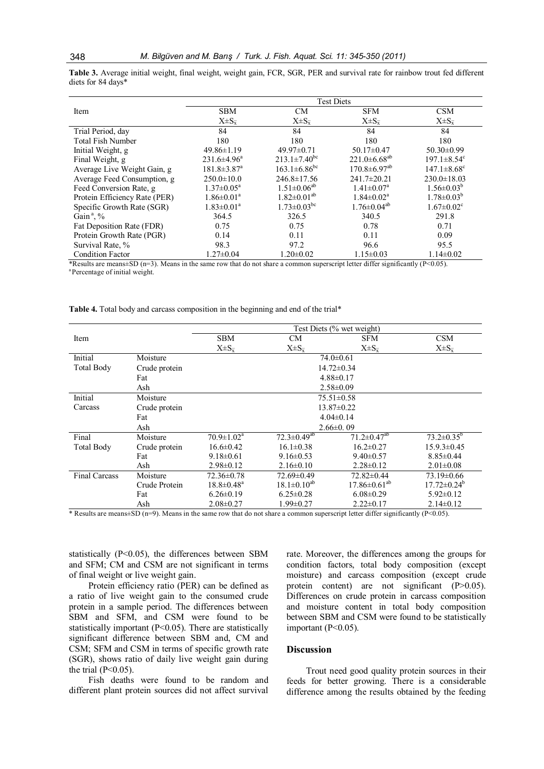Item Test Diets SBM  $X \pm S_{\overline{x}}$ CM  $X\pm S$ <sub>x</sub> SFM  $X \pm S_{\bar{x}}$ CSM  $X\pm S_{\bar{x}}$ Trial Period, day 84 84 84 84 Total Fish Number 180 180 180 180 180 180 180 Initial Weight, g 49.86±1.19 49.97±0.71 50.17±0.47 50.30±0.99<br>Final Weight g 231.6±4.96<sup>a</sup> 213.1±7.40<sup>bc</sup> 221.0±6.68<sup>ab</sup> 197.1±8.54<sup>o</sup> Final Weight, g 213.1±7.40<sup>bc</sup> 221.0±6.68<sup>ab</sup> 197.1±8.54<sup>c</sup><br>163.1±6.86<sup>bc</sup> 170.8±6.97<sup>ab</sup> 147.1±8.68<sup>c</sup> Average Live Weight Gain, g  $181.8 \pm 3.87$ <sup>a</sup>  $170.8 \pm 6.97^{ab}$  147.1 $\pm 8.68^c$ Average Feed Consumption, g  $250.0 \pm 10.0$   $246.8 \pm 17.56$   $241.7 \pm 20.21$   $230.0 \pm 18.03$ <br>Feed Conversion Rate, g  $1.37 \pm 0.05^a$   $1.51 \pm 0.06^{ab}$   $1.41 \pm 0.07^a$   $1.56 \pm 0.03^b$ Feed Conversion Rate, g  $1.51 \pm 0.06^{ab}$  $1.56 \pm 0.03^b$ Protein Efficiency Rate (PER) 1.86±0.01<sup>a</sup> 1.82 $\pm$ 0.01<sup>ab</sup> 1.84 $\pm$ 0.02<sup>a</sup><br>1.73 $\pm$ 0.03<sup>bc</sup> 1.76 $\pm$ 0.04<sup>ab</sup>  $1.78 \pm 0.03^b$ Specific Growth Rate (SGR)  $1.83\pm0.01^{\circ}$  $1.76\pm0.04^{ab}$  1.76±0.04<sup>ab</sup> 1.67±0.02<sup>c</sup><br>326.5 340.5 291.8 Gain $a, \%$ , % 364.5 326.5 340.5 291.8 Fat Deposition Rate (FDR) 0.75 0.75 0.78 0.71 Protein Growth Rate (PGR)  $0.14$  0.11 0.09 Survival Rate, % 98.3 97.2 96.6 95.5<br>Condition Factor 1.27±0.04 1.20±0.02 1.15±0.03 1.14±0.02 Condition Factor

**Table 3.** Average initial weight, final weight, weight gain, FCR, SGR, PER and survival rate for rainbow trout fed different diets for 84 days\*

\*Results are means±SD (n=3). Means in the same row that do not share a common superscript letter differ significantly (P<0.05).

<sup>a</sup> Percentage of initial weight.

**Table 4.** Total body and carcass composition in the beginning and end of the trial\*

|                      |                                                                                                        | Test Diets (% wet weight)  |                          |                                                                                                                                                                                              |                          |
|----------------------|--------------------------------------------------------------------------------------------------------|----------------------------|--------------------------|----------------------------------------------------------------------------------------------------------------------------------------------------------------------------------------------|--------------------------|
| Item                 |                                                                                                        | <b>SBM</b>                 | <b>CM</b>                | <b>SFM</b>                                                                                                                                                                                   | <b>CSM</b>               |
|                      |                                                                                                        | $X \pm S_{\overline{y}}$   | $X \pm S_{\overline{y}}$ | $X \pm S_{\overline{y}}$                                                                                                                                                                     | $X \pm S_{\overline{y}}$ |
| Initial              | Moisture                                                                                               | $74.0 \pm 0.61$            |                          |                                                                                                                                                                                              |                          |
| <b>Total Body</b>    | Crude protein                                                                                          | $14.72 \pm 0.34$           |                          |                                                                                                                                                                                              |                          |
|                      | Fat                                                                                                    | $4.88 \pm 0.17$            |                          |                                                                                                                                                                                              |                          |
|                      | Ash                                                                                                    | $2.58 \pm 0.09$            |                          |                                                                                                                                                                                              |                          |
| Initial              | Moisture                                                                                               | $75.51 \pm 0.58$           |                          |                                                                                                                                                                                              |                          |
| Carcass              | Crude protein                                                                                          | $13.87 \pm 0.22$           |                          |                                                                                                                                                                                              |                          |
|                      | Fat                                                                                                    | $4.04\pm0.14$              |                          |                                                                                                                                                                                              |                          |
|                      | Ash                                                                                                    | $2.66\pm0.09$              |                          |                                                                                                                                                                                              |                          |
| Final                | Moisture                                                                                               | $70.9 \pm 1.02^{\text{a}}$ | $72.3 \pm 0.49^{ab}$     | $71.2 \pm 0.47^{ab}$                                                                                                                                                                         | $73.2 \pm 0.35^b$        |
| <b>Total Body</b>    | Crude protein                                                                                          | $16.6 \pm 0.42$            | $16.1 \pm 0.38$          | $16.2 \pm 0.27$                                                                                                                                                                              | $15.9.3 \pm 0.45$        |
|                      | Fat                                                                                                    | $9.18 \pm 0.61$            | $9.16 \pm 0.53$          | $9.40 \pm 0.57$                                                                                                                                                                              | $8.85 \pm 0.44$          |
|                      | Ash                                                                                                    | $2.98 \pm 0.12$            | $2.16 \pm 0.10$          | $2.28 \pm 0.12$                                                                                                                                                                              | $2.01 \pm 0.08$          |
| <b>Final Carcass</b> | Moisture                                                                                               | 72.36±0.78                 | 72.69±0.49               | 72.82±0.44                                                                                                                                                                                   | $73.19 \pm 0.66$         |
|                      | Crude Protein                                                                                          | $18.8 \pm 0.48^a$          | $18.1 \pm 0.10^{ab}$     | $17.86 \pm 0.61^{ab}$                                                                                                                                                                        | $17.72 \pm 0.24^b$       |
|                      | Fat                                                                                                    | $6.26 \pm 0.19$            | $6.25 \pm 0.28$          | $6.08 \pm 0.29$                                                                                                                                                                              | $5.92 \pm 0.12$          |
|                      | Ash<br>$\ast$ D contractor of CD $(m-0)$ , M can be the convenient of the department of the contractor | $2.08 \pm 0.27$            | $1.99 \pm 0.27$          | $2.22 \pm 0.17$<br>$\mathcal{L}_{\text{tot}}$ 1.44. $\mathcal{L}_{\text{tot}}$ 1.66. $\mathcal{L}_{\text{tot}}$ is $\mathcal{L}_{\text{tot}}$ and $\mathcal{L}_{\text{tot}}$ (D $\geq$ 0.05) | $2.14\pm0.12$            |

Results are means $\pm$ SD (n=9). Means in the same row that do not share a common superscript letter differ significantly (P<0.05).

statistically (P<0.05), the differences between SBM and SFM; CM and CSM are not significant in terms of final weight or live weight gain.

Protein efficiency ratio (PER) can be defined as a ratio of live weight gain to the consumed crude protein in a sample period. The differences between SBM and SFM, and CSM were found to be statistically important (P<0.05). There are statistically significant difference between SBM and, CM and CSM; SFM and CSM in terms of specific growth rate (SGR), shows ratio of daily live weight gain during the trial  $(P<0.05)$ .

Fish deaths were found to be random and different plant protein sources did not affect survival rate. Moreover, the differences among the groups for condition factors, total body composition (except moisture) and carcass composition (except crude protein content) are not significant (P>0.05). Differences on crude protein in carcass composition and moisture content in total body composition between SBM and CSM were found to be statistically important  $(P<0.05)$ .

# **Discussion**

Trout need good quality protein sources in their feeds for better growing. There is a considerable difference among the results obtained by the feeding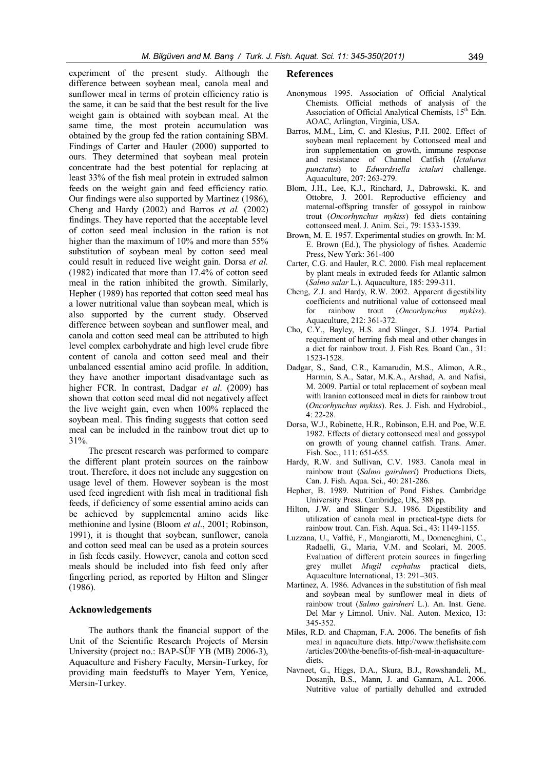experiment of the present study. Although the difference between soybean meal, canola meal and sunflower meal in terms of protein efficiency ratio is the same, it can be said that the best result for the live weight gain is obtained with soybean meal. At the same time, the most protein accumulation was obtained by the group fed the ration containing SBM. Findings of Carter and Hauler (2000) supported to ours. They determined that soybean meal protein concentrate had the best potential for replacing at least 33% of the fish meal protein in extruded salmon feeds on the weight gain and feed efficiency ratio. Our findings were also supported by Martinez (1986), Cheng and Hardy (2002) and Barros *et al.* (2002) findings. They have reported that the acceptable level of cotton seed meal inclusion in the ration is not higher than the maximum of 10% and more than 55% substitution of soybean meal by cotton seed meal could result in reduced live weight gain. Dorsa *et al.* (1982) indicated that more than 17.4% of cotton seed meal in the ration inhibited the growth. Similarly, Hepher (1989) has reported that cotton seed meal has a lower nutritional value than soybean meal, which is also supported by the current study. Observed difference between soybean and sunflower meal, and canola and cotton seed meal can be attributed to high level complex carbohydrate and high level crude fibre content of canola and cotton seed meal and their unbalanced essential amino acid profile. In addition, they have another important disadvantage such as higher FCR. In contrast, Dadgar *et al*. (2009) has shown that cotton seed meal did not negatively affect the live weight gain, even when 100% replaced the soybean meal. This finding suggests that cotton seed meal can be included in the rainbow trout diet up to 31%.

The present research was performed to compare the different plant protein sources on the rainbow trout. Therefore, it does not include any suggestion on usage level of them. However soybean is the most used feed ingredient with fish meal in traditional fish feeds, if deficiency of some essential amino acids can be achieved by supplemental amino acids like methionine and lysine (Bloom *et al*., 2001; Robinson, 1991), it is thought that soybean, sunflower, canola and cotton seed meal can be used as a protein sources in fish feeds easily. However, canola and cotton seed meals should be included into fish feed only after fingerling period, as reported by Hilton and Slinger (1986).

#### **Acknowledgements**

The authors thank the financial support of the Unit of the Scientific Research Projects of Mersin University (project no.: BAP-SÜF YB (MB) 2006-3), Aquaculture and Fishery Faculty, Mersin-Turkey, for providing main feedstuffs to Mayer Yem, Yenice, Mersin-Turkey.

#### **References**

- Anonymous 1995. Association of Official Analytical Chemists. Official methods of analysis of the Association of Official Analytical Chemists, 15<sup>th</sup> Edn. AOAC, Arlington, Virginia, USA.
- Barros, M.M., Lim, C. and Klesius, P.H. 2002. Effect of soybean meal replacement by Cottonseed meal and iron supplementation on growth, immune response and resistance of Channel Catfish (*Ictalurus punctatus*) to *Edwardsiella ictaluri* challenge. Aquaculture, 207: 263-279.
- Blom, J.H., Lee, K.J., Rinchard, J., Dabrowski, K. and Ottobre, J. 2001. Reproductive efficiency and maternal-offspring transfer of gossypol in rainbow trout (*Oncorhynchus mykiss*) fed diets containing cottonseed meal. J. Anim. Sci., 79: 1533-1539.
- Brown, M. E. 1957. Experimental studies on growth. In: M. E. Brown (Ed.), The physiology of fishes. Academic Press, New York: 361-400
- Carter, C.G. and Hauler, R.C. 2000. Fish meal replacement by plant meals in extruded feeds for Atlantic salmon (*Salmo salar* L.). Aquaculture, 185: 299-311.
- Cheng, Z.J. and Hardy, R.W. 2002. Apparent digestibility coefficients and nutritional value of cottonseed meal for rainbow trout (*Oncorhynchus mykiss*). Aquaculture, 212: 361-372.
- Cho, C.Y., Bayley, H.S. and Slinger, S.J. 1974. Partial requirement of herring fish meal and other changes in a diet for rainbow trout. J. Fish Res. Board Can., 31: 1523-1528.
- Dadgar, S., Saad, C.R., Kamarudin, M.S., Alimon, A.R., Harmin, S.A., Satar, M.K.A., Arshad, A. and Nafisi, M. 2009. Partial or total replacement of soybean meal with Iranian cottonseed meal in diets for rainbow trout (*Oncorhynchus mykiss*). Res. J. Fish. and Hydrobiol., 4: 22-28.
- Dorsa, W.J., Robinette, H.R., Robinson, E.H. and Poe, W.E. 1982. Effects of dietary cottonseed meal and gossypol on growth of young channel catfish. Trans. Amer. Fish. Soc., 111: 651-655.
- Hardy, R.W. and Sullivan, C.V. 1983. Canola meal in rainbow trout (*Salmo gairdneri*) Productions Diets, Can. J. Fish. Aqua. Sci., 40: 281-286.
- Hepher, B. 1989. Nutrition of Pond Fishes. Cambridge University Press. Cambridge, UK, 388 pp.
- Hilton, J.W. and Slinger S.J. 1986. Digestibility and utilization of canola meal in practical-type diets for rainbow trout. Can. Fish. Aqua. Sci., 43: 1149-1155.
- Luzzana, U., Valfré, F., Mangiarotti, M., Domeneghini, C., Radaelli, G., Maria, V.M. and Scolari, M. 2005. Evaluation of different protein sources in fingerling grey mullet *Mugil cephalus* practical diets, Aquaculture International, 13: 291–303.
- Martinez, A. 1986. Advances in the substitution of fish meal and soybean meal by sunflower meal in diets of rainbow trout (*Salmo gairdneri* L.). An. Inst. Gene. Del Mar y Limnol. Univ. Nal. Auton. Mexico, 13: 345-352.
- Miles, R.D. and Chapman, F.A. 2006. The benefits of fish meal in aquaculture diets. http://www.thefishsite.com /articles/200/the-benefits-of-fish-meal-in-aquaculturediets.
- Navneet, G., Higgs, D.A., Skura, B.J., Rowshandeli, M., Dosanjh, B.S., Mann, J. and Gannam, A.L. 2006. Nutritive value of partially dehulled and extruded